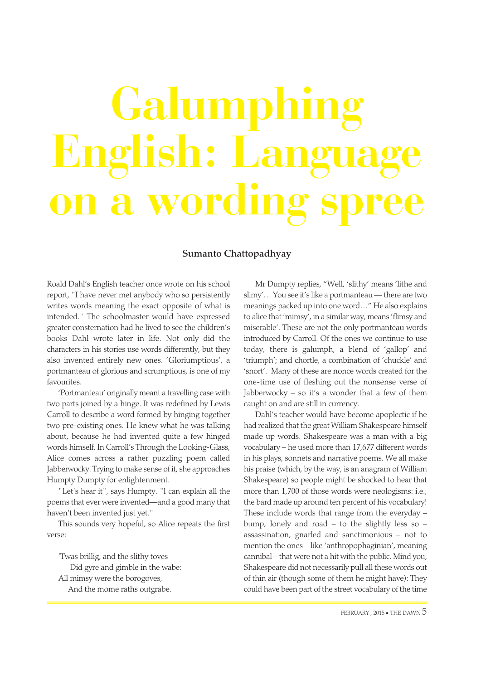## **Galum English: Language on a wording spree**

## Sumanto Chattopadhyay

Roald Dahl's English teacher once wrote on his school report, "I have never met anybody who so persistently writes words meaning the exact opposite of what is intended." The schoolmaster would have expressed greater consternation had he lived to see the children's books Dahl wrote later in life. Not only did the characters in his stories use words differently, but they also invented entirely new ones. 'Gloriumptious', a portmanteau of glorious and scrumptious, is one of my favourites.

'Portmanteau' originally meant a travelling case with two parts joined by a hinge. It was redefined by Lewis Carroll to describe a word formed by hinging together two pre-existing ones. He knew what he was talking about, because he had invented quite a few hinged words himself. In Carroll's Through the Looking-Glass, Alice comes across a rather puzzling poem called Jabberwocky. Trying to make sense of it, she approaches Humpty Dumpty for enlightenment.

"Let's hear it", says Humpty. "I can explain all the poems that ever were invented—and a good many that haven't been invented just yet."

This sounds very hopeful, so Alice repeats the first verse:

'Twas brillig, and the slithy toves Did gyre and gimble in the wabe: All mimsy were the borogoves, And the mome raths outgrabe.

Mr Dumpty replies, "Well, 'slithy' means 'lithe and slimy'… You see it's like a portmanteau — there are two meanings packed up into one word…" He also explains to alice that 'mimsy', in a similar way, means 'flimsy and miserable'. These are not the only portmanteau words introduced by Carroll. Of the ones we continue to use today, there is galumph, a blend of 'gallop' and 'triumph'; and chortle, a combination of 'chuckle' and 'snort'. Many of these are nonce words created for the one-time use of fleshing out the nonsense verse of Jabberwocky – so it's a wonder that a few of them caught on and are still in currency.

Dahl's teacher would have become apoplectic if he had realized that the great William Shakespeare himself made up words. Shakespeare was a man with a big vocabulary – he used more than 17,677 different words in his plays, sonnets and narrative poems. We all make his praise (which, by the way, is an anagram of William Shakespeare) so people might be shocked to hear that more than 1,700 of those words were neologisms: i.e., the bard made up around ten percent of his vocabulary! These include words that range from the everyday – bump, lonely and road – to the slightly less so – assassination, gnarled and sanctimonious – not to mention the ones – like 'anthropophaginian', meaning cannibal – that were not a hit with the public. Mind you, Shakespeare did not necessarily pull all these words out of thin air (though some of them he might have): They could have been part of the street vocabulary of the time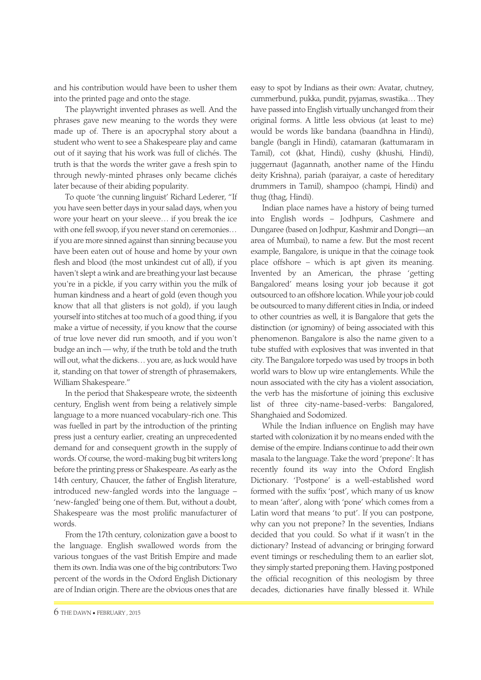and his contribution would have been to usher them into the printed page and onto the stage.

The playwright invented phrases as well. And the phrases gave new meaning to the words they were made up of. There is an apocryphal story about a student who went to see a Shakespeare play and came out of it saying that his work was full of clichés. The truth is that the words the writer gave a fresh spin to through newly-minted phrases only became clichés later because of their abiding popularity.

To quote 'the cunning linguist' Richard Lederer, "If you have seen better days in your salad days, when you wore your heart on your sleeve… if you break the ice with one fell swoop, if you never stand on ceremonies… if you are more sinned against than sinning because you have been eaten out of house and home by your own flesh and blood (the most unkindest cut of all), if you haven't slept a wink and are breathing your last because you're in a pickle, if you carry within you the milk of human kindness and a heart of gold (even though you know that all that glisters is not gold), if you laugh yourself into stitches at too much of a good thing, if you make a virtue of necessity, if you know that the course of true love never did run smooth, and if you won't budge an inch — why, if the truth be told and the truth will out, what the dickens… you are, as luck would have it, standing on that tower of strength of phrasemakers, William Shakespeare."

In the period that Shakespeare wrote, the sixteenth century, English went from being a relatively simple language to a more nuanced vocabulary-rich one. This was fuelled in part by the introduction of the printing press just a century earlier, creating an unprecedented demand for and consequent growth in the supply of words. Of course, the word-making bug bit writers long before the printing press or Shakespeare. As early as the 14th century, Chaucer, the father of English literature, introduced new-fangled words into the language – 'new-fangled' being one of them. But, without a doubt, Shakespeare was the most prolific manufacturer of words.

From the 17th century, colonization gave a boost to the language. English swallowed words from the various tongues of the vast British Empire and made them its own. India was one of the big contributors: Two percent of the words in the Oxford English Dictionary are of Indian origin. There are the obvious ones that are easy to spot by Indians as their own: Avatar, chutney, cummerbund, pukka, pundit, pyjamas, swastika… They have passed into English virtually unchanged from their original forms. A little less obvious (at least to me) would be words like bandana (baandhna in Hindi), bangle (bangli in Hindi), catamaran (kattumaram in Tamil), cot (khat, Hindi), cushy (khushi, Hindi), juggernaut (Jagannath, another name of the Hindu deity Krishna), pariah (paraiyar, a caste of hereditary drummers in Tamil), shampoo (champi, Hindi) and thug (thag, Hindi).

Indian place names have a history of being turned into English words – Jodhpurs, Cashmere and Dungaree (based on Jodhpur, Kashmir and Dongri—an area of Mumbai), to name a few. But the most recent example, Bangalore, is unique in that the coinage took place offshore – which is apt given its meaning. Invented by an American, the phrase 'getting Bangalored' means losing your job because it got outsourced to an offshore location. While your job could be outsourced to many different cities in India, or indeed to other countries as well, it is Bangalore that gets the distinction (or ignominy) of being associated with this phenomenon. Bangalore is also the name given to a tube stuffed with explosives that was invented in that city. The Bangalore torpedo was used by troops in both world wars to blow up wire entanglements. While the noun associated with the city has a violent association, the verb has the misfortune of joining this exclusive list of three city-name-based-verbs: Bangalored, Shanghaied and Sodomized.

While the Indian influence on English may have started with colonization it by no means ended with the demise of the empire. Indians continue to add their own masala to the language. Take the word 'prepone': It has recently found its way into the Oxford English Dictionary. 'Postpone' is a well-established word formed with the suffix 'post', which many of us know to mean 'after', along with 'pone' which comes from a Latin word that means 'to put'. If you can postpone, why can you not prepone? In the seventies, Indians decided that you could. So what if it wasn't in the dictionary? Instead of advancing or bringing forward event timings or rescheduling them to an earlier slot, they simply started preponing them. Having postponed the official recognition of this neologism by three decades, dictionaries have finally blessed it. While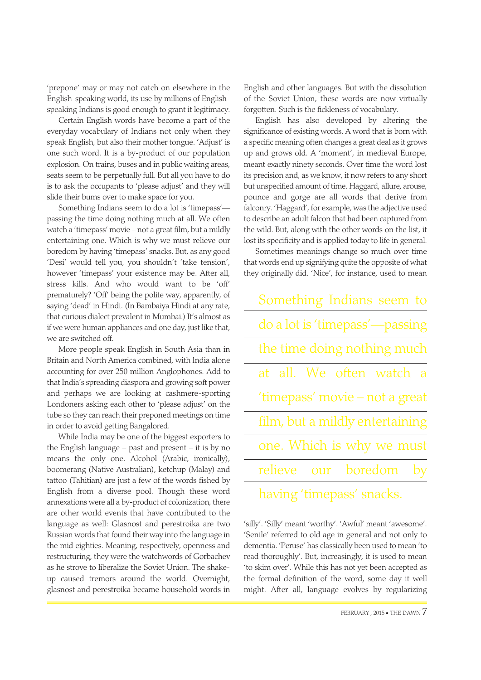'prepone' may or may not catch on elsewhere in the English-speaking world, its use by millions of Englishspeaking Indians is good enough to grant it legitimacy.

Certain English words have become a part of the everyday vocabulary of Indians not only when they speak English, but also their mother tongue. 'Adjust' is one such word. It is a by-product of our population explosion. On trains, buses and in public waiting areas, seats seem to be perpetually full. But all you have to do is to ask the occupants to 'please adjust' and they will slide their bums over to make space for you.

Something Indians seem to do a lot is 'timepass' passing the time doing nothing much at all. We often watch a 'timepass' movie – not a great film, but a mildly entertaining one. Which is why we must relieve our boredom by having 'timepass' snacks. But, as any good 'Desi' would tell you, you shouldn't 'take tension', however 'timepass' your existence may be. After all, stress kills. And who would want to be 'off' prematurely? 'Off' being the polite way, apparently, of saying 'dead' in Hindi. (In Bambaiya Hindi at any rate, that curious dialect prevalent in Mumbai.) It's almost as if we were human appliances and one day, just like that, we are switched off.

More people speak English in South Asia than in Britain and North America combined, with India alone accounting for over 250 million Anglophones. Add to that India's spreading diaspora and growing soft power and perhaps we are looking at cashmere-sporting Londoners asking each other to 'please adjust' on the tube so they can reach their preponed meetings on time in order to avoid getting Bangalored.

While India may be one of the biggest exporters to the English language – past and present – it is by no means the only one. Alcohol (Arabic, ironically), boomerang (Native Australian), ketchup (Malay) and tattoo (Tahitian) are just a few of the words fished by English from a diverse pool. Though these word annexations were all a by-product of colonization, there are other world events that have contributed to the language as well: Glasnost and perestroika are two Russian words that found their way into the language in the mid eighties. Meaning, respectively, openness and restructuring, they were the watchwords of Gorbachev as he strove to liberalize the Soviet Union. The shakeup caused tremors around the world. Overnight, glasnost and perestroika became household words in English and other languages. But with the dissolution of the Soviet Union, these words are now virtually forgotten. Such is the fickleness of vocabulary.

English has also developed by altering the significance of existing words. A word that is born with a specific meaning often changes a great deal as it grows up and grows old. A 'moment', in medieval Europe, meant exactly ninety seconds. Over time the word lost its precision and, as we know, it now refers to any short but unspecified amount of time. Haggard, allure, arouse, pounce and gorge are all words that derive from falconry. 'Haggard', for example, was the adjective used to describe an adult falcon that had been captured from the wild. But, along with the other words on the list, it lost its specificity and is applied today to life in general.

Sometimes meanings change so much over time that words end up signifying quite the opposite of what they originally did. 'Nice', for instance, used to mean

| Something Indians seem to       |
|---------------------------------|
| do a lot is 'timepass'-passing  |
| the time doing nothing much     |
| at all. We often watch a        |
| 'timepass' movie – not a great  |
| film, but a mildly entertaining |
| one. Which is why we must       |
| relieve our boredom by          |
| having 'timepass' snacks.       |

'silly'. 'Silly' meant 'worthy'. 'Awful' meant 'awesome'. 'Senile' referred to old age in general and not only to dementia. 'Peruse' has classically been used to mean 'to read thoroughly'. But, increasingly, it is used to mean 'to skim over'. While this has not yet been accepted as the formal definition of the word, some day it well might. After all, language evolves by regularizing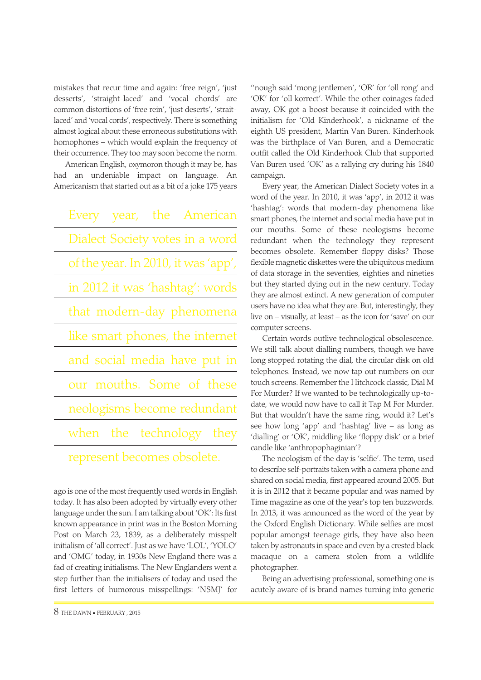mistakes that recur time and again: 'free reign', 'just desserts', 'straight-laced' and 'vocal chords' are common distortions of 'free rein', 'just deserts', 'straitlaced' and 'vocal cords', respectively. There is something almost logical about these erroneous substitutions with homophones – which would explain the frequency of their occurrence. They too may soon become the norm.

American English, oxymoron though it may be, has had an undeniable impact on language. An Americanism that started out as a bit of a joke 175 years

| Every year, the American            |
|-------------------------------------|
| Dialect Society votes in a word     |
| of the year. In 2010, it was 'app', |
| in 2012 it was 'hashtag': words     |
| that modern-day phenomena           |
| like smart phones, the internet     |
| and social media have put in        |
| our mouths. Some of these           |
| neologisms become redundant         |
| when the technology they            |
| represent becomes obsolete.         |

ago is one of the most frequently used words in English today. It has also been adopted by virtually every other language under the sun. I am talking about 'OK': Its first known appearance in print was in the Boston Morning Post on March 23, 1839, as a deliberately misspelt initialism of 'all correct'. Just as we have 'LOL', 'YOLO' and 'OMG' today, in 1930s New England there was a fad of creating initialisms. The New Englanders went a step further than the initialisers of today and used the first letters of humorous misspellings: 'NSMJ' for ''nough said 'mong jentlemen', 'OR' for 'oll rong' and 'OK' for 'oll korrect'. While the other coinages faded away, OK got a boost because it coincided with the initialism for 'Old Kinderhook', a nickname of the eighth US president, Martin Van Buren. Kinderhook was the birthplace of Van Buren, and a Democratic outfit called the Old Kinderhook Club that supported Van Buren used 'OK' as a rallying cry during his 1840 campaign.

Every year, the American Dialect Society votes in a word of the year. In 2010, it was 'app', in 2012 it was 'hashtag': words that modern-day phenomena like smart phones, the internet and social media have put in our mouths. Some of these neologisms become redundant when the technology they represent becomes obsolete. Remember floppy disks? Those flexible magnetic diskettes were the ubiquitous medium of data storage in the seventies, eighties and nineties but they started dying out in the new century. Today they are almost extinct. A new generation of computer users have no idea what they are. But, interestingly, they live on – visually, at least – as the icon for 'save' on our computer screens.

Certain words outlive technological obsolescence. We still talk about dialling numbers, though we have long stopped rotating the dial, the circular disk on old telephones. Instead, we now tap out numbers on our touch screens. Remember the Hitchcock classic, Dial M For Murder? If we wanted to be technologically up-todate, we would now have to call it Tap M For Murder. But that wouldn't have the same ring, would it? Let's see how long 'app' and 'hashtag' live – as long as 'dialling' or 'OK', middling like 'floppy disk' or a brief candle like 'anthropophaginian'?

The neologism of the day is 'selfie'. The term, used to describe self-portraits taken with a camera phone and shared on social media, first appeared around 2005. But it is in 2012 that it became popular and was named by Time magazine as one of the year's top ten buzzwords. In 2013, it was announced as the word of the year by the Oxford English Dictionary. While selfies are most popular amongst teenage girls, they have also been taken by astronauts in space and even by a crested black macaque on a camera stolen from a wildlife photographer.

Being an advertising professional, something one is acutely aware of is brand names turning into generic